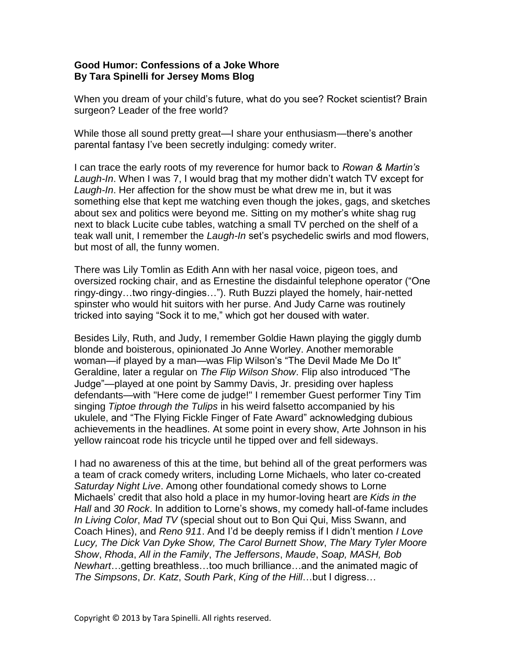## **Good Humor: Confessions of a Joke Whore By Tara Spinelli for Jersey Moms Blog**

When you dream of your child's future, what do you see? Rocket scientist? Brain surgeon? Leader of the free world?

While those all sound pretty great—I share your enthusiasm—there's another parental fantasy I've been secretly indulging: comedy writer.

I can trace the early roots of my reverence for humor back to *Rowan & Martin's Laugh-In*. When I was 7, I would brag that my mother didn't watch TV except for *Laugh-In*. Her affection for the show must be what drew me in, but it was something else that kept me watching even though the jokes, gags, and sketches about sex and politics were beyond me. Sitting on my mother's white shag rug next to black Lucite cube tables, watching a small TV perched on the shelf of a teak wall unit, I remember the *Laugh-In* set's psychedelic swirls and mod flowers, but most of all, the funny women.

There was Lily Tomlin as Edith Ann with her nasal voice, pigeon toes, and oversized rocking chair, and as Ernestine the disdainful telephone operator ("One ringy-dingy…two ringy-dingies…"). Ruth Buzzi played the homely, hair-netted spinster who would hit suitors with her purse. And Judy Carne was routinely tricked into saying "Sock it to me," which got her doused with water.

Besides Lily, Ruth, and Judy, I remember Goldie Hawn playing the giggly dumb blonde and boisterous, opinionated Jo Anne Worley. Another memorable woman—if played by a man—was Flip Wilson's "The Devil Made Me Do It" Geraldine, later a regular on *The Flip Wilson Show*. Flip also introduced "The Judge"—played at one point by Sammy Davis, Jr. presiding over hapless defendants—with "Here come de judge!" I remember Guest performer Tiny Tim singing *Tiptoe through the Tulips* in his weird falsetto accompanied by his ukulele, and "The Flying Fickle Finger of Fate Award" acknowledging dubious achievements in the headlines. At some point in every show, Arte Johnson in his yellow raincoat rode his tricycle until he tipped over and fell sideways.

I had no awareness of this at the time, but behind all of the great performers was a team of crack comedy writers, including Lorne Michaels, who later co-created *Saturday Night Live*. Among other foundational comedy shows to Lorne Michaels' credit that also hold a place in my humor-loving heart are *Kids in the Hall* and *30 Rock*. In addition to Lorne's shows, my comedy hall-of-fame includes *In Living Color*, *Mad TV* (special shout out to Bon Qui Qui, Miss Swann, and Coach Hines), and *Reno 911*. And I'd be deeply remiss if I didn't mention *I Love Lucy, The Dick Van Dyke Show, The Carol Burnett Show*, *The Mary Tyler Moore Show*, *Rhoda*, *All in the Family*, *The Jeffersons*, *Maude*, *Soap, MASH, Bob Newhart*…getting breathless…too much brilliance…and the animated magic of *The Simpsons*, *Dr. Katz*, *South Park*, *King of the Hill*…but I digress…